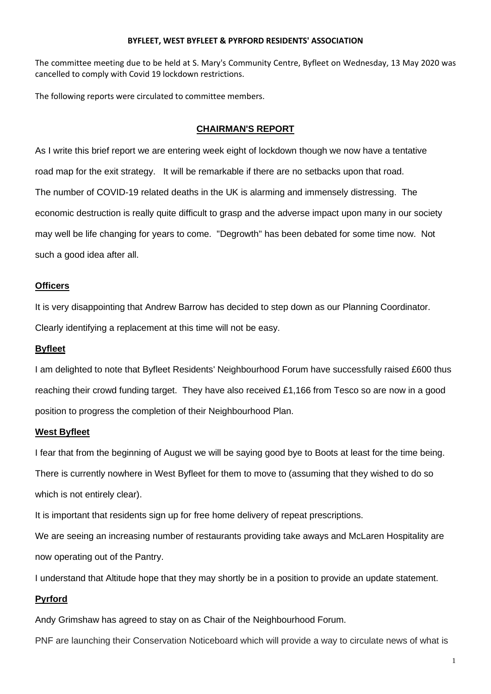#### **BYFLEET, WEST BYFLEET & PYRFORD RESIDENTS' ASSOCIATION**

The committee meeting due to be held at S. Mary's Community Centre, Byfleet on Wednesday, 13 May 2020 was cancelled to comply with Covid 19 lockdown restrictions.

The following reports were circulated to committee members.

#### **CHAIRMAN'S REPORT**

As I write this brief report we are entering week eight of lockdown though we now have a tentative road map for the exit strategy. It will be remarkable if there are no setbacks upon that road. The number of COVID-19 related deaths in the UK is alarming and immensely distressing. The economic destruction is really quite difficult to grasp and the adverse impact upon many in our society may well be life changing for years to come. "Degrowth" has been debated for some time now. Not such a good idea after all.

#### **Officers**

It is very disappointing that Andrew Barrow has decided to step down as our Planning Coordinator. Clearly identifying a replacement at this time will not be easy.

#### **Byfleet**

I am delighted to note that Byfleet Residents' Neighbourhood Forum have successfully raised £600 thus reaching their crowd funding target. They have also received £1,166 from Tesco so are now in a good position to progress the completion of their Neighbourhood Plan.

#### **West Byfleet**

I fear that from the beginning of August we will be saying good bye to Boots at least for the time being. There is currently nowhere in West Byfleet for them to move to (assuming that they wished to do so

which is not entirely clear).

It is important that residents sign up for free home delivery of repeat prescriptions.

We are seeing an increasing number of restaurants providing take aways and McLaren Hospitality are now operating out of the Pantry.

I understand that Altitude hope that they may shortly be in a position to provide an update statement.

### **Pyrford**

Andy Grimshaw has agreed to stay on as Chair of the Neighbourhood Forum.

PNF are launching their Conservation Noticeboard which will provide a way to circulate news of what is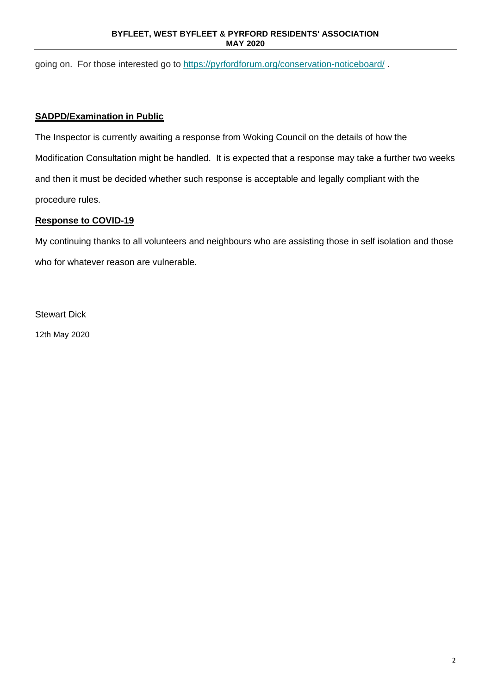#### **BYFLEET, WEST BYFLEET & PYRFORD RESIDENTS' ASSOCIATION MAY 2020**

going on. For those interested go to [https://pyrfordforum.org/conservation-noticeboard/](https://pyrfordforum.us11.list-manage.com/track/click?u=a57639713967f4e2500da1839&id=880e51b351&e=847518183c).

## **SADPD/Examination in Public**

The Inspector is currently awaiting a response from Woking Council on the details of how the Modification Consultation might be handled. It is expected that a response may take a further two weeks and then it must be decided whether such response is acceptable and legally compliant with the procedure rules.

## **Response to COVID-19**

My continuing thanks to all volunteers and neighbours who are assisting those in self isolation and those who for whatever reason are vulnerable.

Stewart Dick 12th May 2020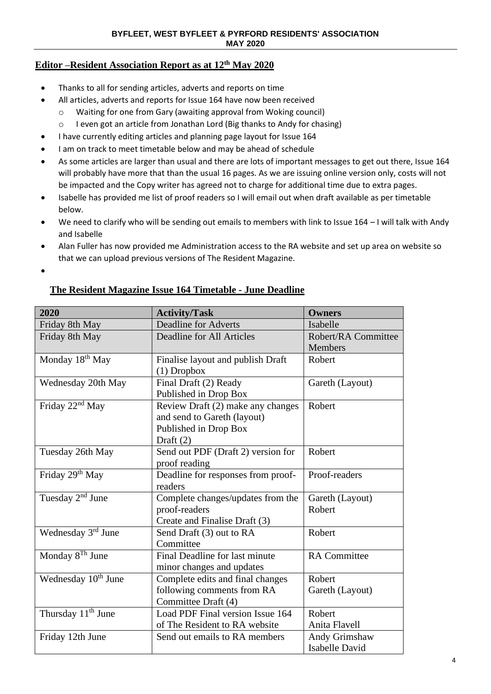## **Editor –Resident Association Report as at 12 th May 2020**

- Thanks to all for sending articles, adverts and reports on time
	- All articles, adverts and reports for Issue 164 have now been received
		- o Waiting for one from Gary (awaiting approval from Woking council)
		- o I even got an article from Jonathan Lord (Big thanks to Andy for chasing)
- I have currently editing articles and planning page layout for Issue 164
- I am on track to meet timetable below and may be ahead of schedule
- As some articles are larger than usual and there are lots of important messages to get out there, Issue 164 will probably have more that than the usual 16 pages. As we are issuing online version only, costs will not be impacted and the Copy writer has agreed not to charge for additional time due to extra pages.
- Isabelle has provided me list of proof readers so I will email out when draft available as per timetable below.
- We need to clarify who will be sending out emails to members with link to Issue 164 I will talk with Andy and Isabelle
- Alan Fuller has now provided me Administration access to the RA website and set up area on website so that we can upload previous versions of The Resident Magazine.
- •

## **The Resident Magazine Issue 164 Timetable - June Deadline**

| 2020                            | <b>Activity/Task</b>               | <b>Owners</b>         |
|---------------------------------|------------------------------------|-----------------------|
|                                 | <b>Deadline for Adverts</b>        | Isabelle              |
| Friday 8th May                  |                                    |                       |
| Friday 8th May                  | <b>Deadline for All Articles</b>   | Robert/RA Committee   |
|                                 |                                    | <b>Members</b>        |
| Monday 18 <sup>th</sup> May     | Finalise layout and publish Draft  | Robert                |
|                                 | $(1)$ Dropbox                      |                       |
| Wednesday 20th May              | Final Draft (2) Ready              | Gareth (Layout)       |
|                                 | Published in Drop Box              |                       |
| Friday 22 <sup>nd</sup> May     | Review Draft (2) make any changes  | Robert                |
|                                 | and send to Gareth (layout)        |                       |
|                                 | Published in Drop Box              |                       |
|                                 | Draft $(2)$                        |                       |
| Tuesday 26th May                | Send out PDF (Draft 2) version for | Robert                |
|                                 | proof reading                      |                       |
| Friday 29 <sup>th</sup> May     | Deadline for responses from proof- | Proof-readers         |
|                                 | readers                            |                       |
| Tuesday $2nd$ June              | Complete changes/updates from the  | Gareth (Layout)       |
|                                 | proof-readers                      | Robert                |
|                                 | Create and Finalise Draft (3)      |                       |
| Wednesday 3 <sup>rd</sup> June  | Send Draft (3) out to RA           | Robert                |
|                                 | Committee                          |                       |
| Monday 8 <sup>Th</sup> June     | Final Deadline for last minute     | <b>RA</b> Committee   |
|                                 |                                    |                       |
|                                 | minor changes and updates          |                       |
| Wednesday 10 <sup>th</sup> June | Complete edits and final changes   | Robert                |
|                                 | following comments from RA         | Gareth (Layout)       |
|                                 | Committee Draft (4)                |                       |
| Thursday 11 <sup>th</sup> June  | Load PDF Final version Issue 164   | Robert                |
|                                 | of The Resident to RA website      | Anita Flavell         |
| Friday 12th June                | Send out emails to RA members      | Andy Grimshaw         |
|                                 |                                    | <b>Isabelle David</b> |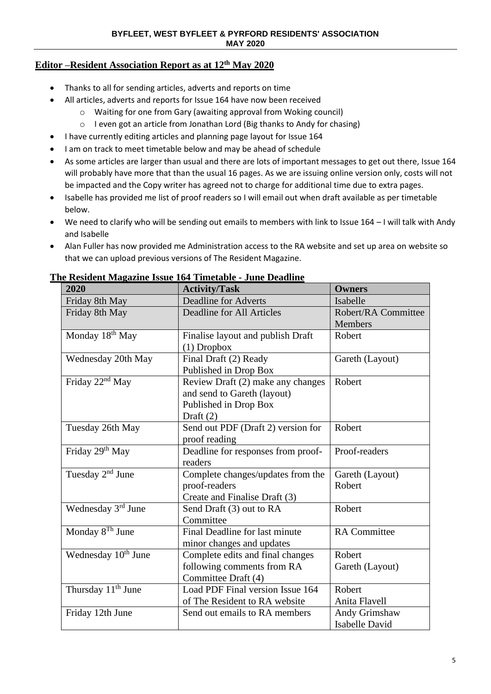## **Editor –Resident Association Report as at 12 th May 2020**

- Thanks to all for sending articles, adverts and reports on time
- All articles, adverts and reports for Issue 164 have now been received
	- o Waiting for one from Gary (awaiting approval from Woking council)
	- o I even got an article from Jonathan Lord (Big thanks to Andy for chasing)
- I have currently editing articles and planning page layout for Issue 164
- I am on track to meet timetable below and may be ahead of schedule
- As some articles are larger than usual and there are lots of important messages to get out there, Issue 164 will probably have more that than the usual 16 pages. As we are issuing online version only, costs will not be impacted and the Copy writer has agreed not to charge for additional time due to extra pages.
- Isabelle has provided me list of proof readers so I will email out when draft available as per timetable below.
- We need to clarify who will be sending out emails to members with link to Issue 164 I will talk with Andy and Isabelle
- Alan Fuller has now provided me Administration access to the RA website and set up area on website so that we can upload previous versions of The Resident Magazine.

| 2020                            | с кемене мадалие тэме тот типешие - запе дешине<br><b>Activity/Task</b> | <b>Owners</b>         |
|---------------------------------|-------------------------------------------------------------------------|-----------------------|
|                                 |                                                                         |                       |
| Friday 8th May                  | <b>Deadline for Adverts</b>                                             | Isabelle              |
| Friday 8th May                  | <b>Deadline for All Articles</b>                                        | Robert/RA Committee   |
|                                 |                                                                         | <b>Members</b>        |
| Monday 18 <sup>th</sup> May     | Finalise layout and publish Draft                                       | Robert                |
|                                 | $(1)$ Dropbox                                                           |                       |
| Wednesday 20th May              | Final Draft (2) Ready                                                   | Gareth (Layout)       |
|                                 | Published in Drop Box                                                   |                       |
| Friday 22 <sup>nd</sup> May     | Review Draft (2) make any changes                                       | Robert                |
|                                 | and send to Gareth (layout)                                             |                       |
|                                 | Published in Drop Box                                                   |                       |
|                                 | Draft $(2)$                                                             |                       |
| Tuesday 26th May                | Send out PDF (Draft 2) version for                                      | Robert                |
|                                 | proof reading                                                           |                       |
| Friday 29 <sup>th</sup> May     | Deadline for responses from proof-                                      | Proof-readers         |
|                                 | readers                                                                 |                       |
| Tuesday $2nd$ June              | Complete changes/updates from the                                       | Gareth (Layout)       |
|                                 | proof-readers                                                           | Robert                |
|                                 | Create and Finalise Draft (3)                                           |                       |
| Wednesday 3rd June              | Send Draft (3) out to RA                                                | Robert                |
|                                 | Committee                                                               |                       |
| Monday 8 <sup>Th</sup> June     | Final Deadline for last minute                                          | <b>RA</b> Committee   |
|                                 | minor changes and updates                                               |                       |
| Wednesday 10 <sup>th</sup> June | Complete edits and final changes                                        | Robert                |
|                                 | following comments from RA                                              | Gareth (Layout)       |
|                                 | Committee Draft (4)                                                     |                       |
| Thursday 11 <sup>th</sup> June  | Load PDF Final version Issue 164                                        | Robert                |
|                                 | of The Resident to RA website                                           | Anita Flavell         |
| Friday 12th June                | Send out emails to RA members                                           | Andy Grimshaw         |
|                                 |                                                                         | <b>Isabelle David</b> |

#### **The Resident Magazine Issue 164 Timetable - June Deadline**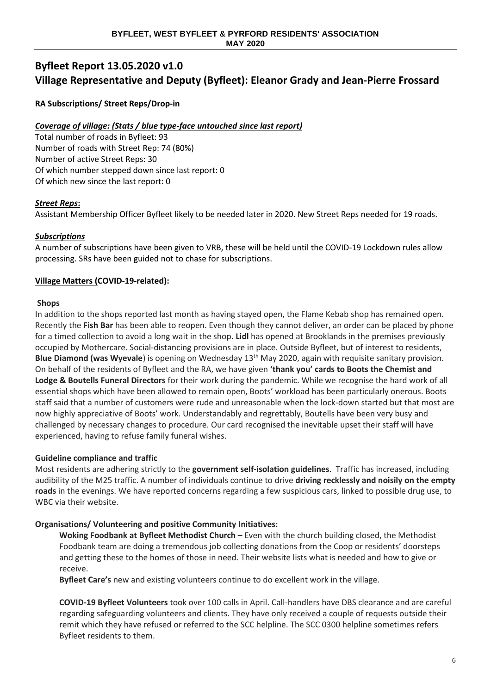# **Byfleet Report 13.05.2020 v1.0 Village Representative and Deputy (Byfleet): Eleanor Grady and Jean-Pierre Frossard**

**RA Subscriptions/ Street Reps/Drop-in**

## *Coverage of village: (Stats / blue type-face untouched since last report)*

Total number of roads in Byfleet: 93 Number of roads with Street Rep: 74 (80%) Number of active Street Reps: 30 Of which number stepped down since last report: 0 Of which new since the last report: 0

## *Street Reps***:**

Assistant Membership Officer Byfleet likely to be needed later in 2020. New Street Reps needed for 19 roads.

## *Subscriptions*

A number of subscriptions have been given to VRB, these will be held until the COVID-19 Lockdown rules allow processing. SRs have been guided not to chase for subscriptions.

## **Village Matters (COVID-19-related):**

#### **Shops**

In addition to the shops reported last month as having stayed open, the Flame Kebab shop has remained open. Recently the **Fish Bar** has been able to reopen. Even though they cannot deliver, an order can be placed by phone for a timed collection to avoid a long wait in the shop. **Lidl** has opened at Brooklands in the premises previously occupied by Mothercare. Social-distancing provisions are in place. Outside Byfleet, but of interest to residents, **Blue Diamond (was Wyevale**) is opening on Wednesday 13<sup>th</sup> May 2020, again with requisite sanitary provision. On behalf of the residents of Byfleet and the RA, we have given **'thank you' cards to Boots the Chemist and Lodge & Boutells Funeral Directors** for their work during the pandemic. While we recognise the hard work of all essential shops which have been allowed to remain open, Boots' workload has been particularly onerous. Boots staff said that a number of customers were rude and unreasonable when the lock-down started but that most are now highly appreciative of Boots' work. Understandably and regrettably, Boutells have been very busy and challenged by necessary changes to procedure. Our card recognised the inevitable upset their staff will have experienced, having to refuse family funeral wishes.

## **Guideline compliance and traffic**

Most residents are adhering strictly to the **government self-isolation guidelines**. Traffic has increased, including audibility of the M25 traffic. A number of individuals continue to drive **driving recklessly and noisily on the empty roads** in the evenings. We have reported concerns regarding a few suspicious cars, linked to possible drug use, to WBC via their website.

## **Organisations/ Volunteering and positive Community Initiatives:**

**Woking Foodbank at Byfleet Methodist Church** – Even with the church building closed, the Methodist Foodbank team are doing a tremendous job collecting donations from the Coop or residents' doorsteps and getting these to the homes of those in need. Their website lists what is needed and how to give or receive.

**Byfleet Care's** new and existing volunteers continue to do excellent work in the village.

**COVID-19 Byfleet Volunteers** took over 100 calls in April. Call-handlers have DBS clearance and are careful regarding safeguarding volunteers and clients. They have only received a couple of requests outside their remit which they have refused or referred to the SCC helpline. The SCC 0300 helpline sometimes refers Byfleet residents to them.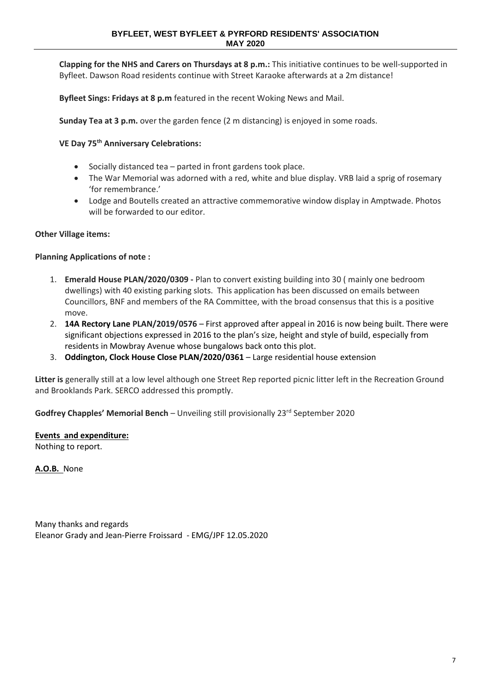**Clapping for the NHS and Carers on Thursdays at 8 p.m.:** This initiative continues to be well-supported in Byfleet. Dawson Road residents continue with Street Karaoke afterwards at a 2m distance!

**Byfleet Sings: Fridays at 8 p.m** featured in the recent Woking News and Mail.

**Sunday Tea at 3 p.m.** over the garden fence (2 m distancing) is enjoyed in some roads.

**VE Day 75th Anniversary Celebrations:**

- Socially distanced tea parted in front gardens took place.
- The War Memorial was adorned with a red, white and blue display. VRB laid a sprig of rosemary 'for remembrance.'
- Lodge and Boutells created an attractive commemorative window display in Amptwade. Photos will be forwarded to our editor.

#### **Other Village items:**

#### **Planning Applications of note :**

- 1. **Emerald House PLAN/2020/0309 -** Plan to convert existing building into 30 ( mainly one bedroom dwellings) with 40 existing parking slots. This application has been discussed on emails between Councillors, BNF and members of the RA Committee, with the broad consensus that this is a positive move.
- 2. **14A Rectory Lane PLAN/2019/0576** First approved after appeal in 2016 is now being built. There were significant objections expressed in 2016 to the plan's size, height and style of build, especially from residents in Mowbray Avenue whose bungalows back onto this plot.
- 3. **Oddington, Clock House Close PLAN/2020/0361**  Large residential house extension

**Litter is** generally still at a low level although one Street Rep reported picnic litter left in the Recreation Ground and Brooklands Park. SERCO addressed this promptly.

**Godfrey Chapples' Memorial Bench** – Unveiling still provisionally 23<sup>rd</sup> September 2020

**Events and expenditure:**

Nothing to report.

**A.O.B.** None

Many thanks and regards Eleanor Grady and Jean-Pierre Froissard - EMG/JPF 12.05.2020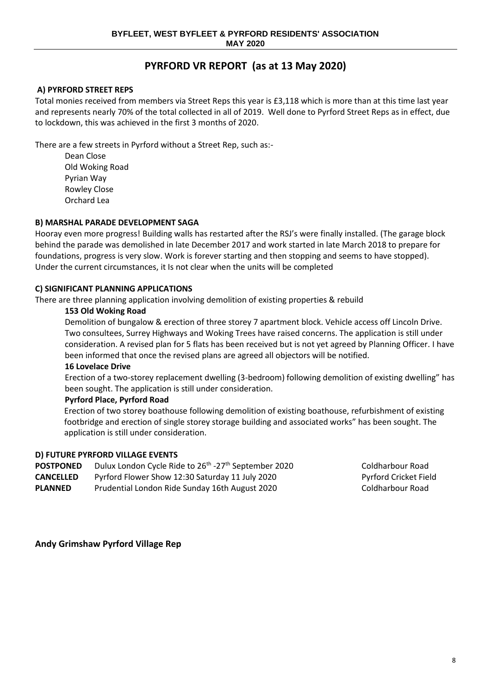# **PYRFORD VR REPORT (as at 13 May 2020)**

### **A) PYRFORD STREET REPS**

Total monies received from members via Street Reps this year is £3,118 which is more than at this time last year and represents nearly 70% of the total collected in all of 2019. Well done to Pyrford Street Reps as in effect, due to lockdown, this was achieved in the first 3 months of 2020.

There are a few streets in Pyrford without a Street Rep, such as:-

Dean Close Old Woking Road Pyrian Way Rowley Close Orchard Lea

#### **B) MARSHAL PARADE DEVELOPMENT SAGA**

Hooray even more progress! Building walls has restarted after the RSJ's were finally installed. (The garage block behind the parade was demolished in late December 2017 and work started in late March 2018 to prepare for foundations, progress is very slow. Work is forever starting and then stopping and seems to have stopped). Under the current circumstances, it Is not clear when the units will be completed

#### **C) SIGNIFICANT PLANNING APPLICATIONS**

There are three planning application involving demolition of existing properties & rebuild

#### **153 Old Woking Road**

Demolition of bungalow & erection of three storey 7 apartment block. Vehicle access off Lincoln Drive. Two consultees, Surrey Highways and Woking Trees have raised concerns. The application is still under consideration. A revised plan for 5 flats has been received but is not yet agreed by Planning Officer. I have been informed that once the revised plans are agreed all objectors will be notified.

#### **16 Lovelace Drive**

Erection of a two-storey replacement dwelling (3-bedroom) following demolition of existing dwelling" has been sought. The application is still under consideration.

#### **Pyrford Place, Pyrford Road**

Erection of two storey boathouse following demolition of existing boathouse, refurbishment of existing footbridge and erection of single storey storage building and associated works" has been sought. The application is still under consideration.

#### **D) FUTURE PYRFORD VILLAGE EVENTS**

- **POSTPONED** Dulux London Cycle Ride to 26<sup>th</sup> -27<sup>th</sup> September 2020 Coldharbour Road
- **CANCELLED** Pyrford Flower Show 12:30 Saturday 11 July 2020 Pyrford Cricket Field

**PLANNED** Prudential London Ride Sunday 16th August 2020 Coldharbour Road

## **Andy Grimshaw Pyrford Village Rep**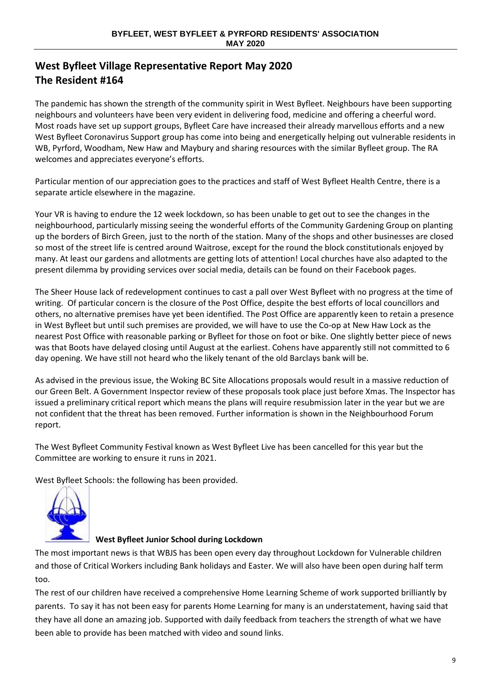# **West Byfleet Village Representative Report May 2020 The Resident #164**

The pandemic has shown the strength of the community spirit in West Byfleet. Neighbours have been supporting neighbours and volunteers have been very evident in delivering food, medicine and offering a cheerful word. Most roads have set up support groups, Byfleet Care have increased their already marvellous efforts and a new West Byfleet Coronavirus Support group has come into being and energetically helping out vulnerable residents in WB, Pyrford, Woodham, New Haw and Maybury and sharing resources with the similar Byfleet group. The RA welcomes and appreciates everyone's efforts.

Particular mention of our appreciation goes to the practices and staff of West Byfleet Health Centre, there is a separate article elsewhere in the magazine.

Your VR is having to endure the 12 week lockdown, so has been unable to get out to see the changes in the neighbourhood, particularly missing seeing the wonderful efforts of the Community Gardening Group on planting up the borders of Birch Green, just to the north of the station. Many of the shops and other businesses are closed so most of the street life is centred around Waitrose, except for the round the block constitutionals enjoyed by many. At least our gardens and allotments are getting lots of attention! Local churches have also adapted to the present dilemma by providing services over social media, details can be found on their Facebook pages.

The Sheer House lack of redevelopment continues to cast a pall over West Byfleet with no progress at the time of writing. Of particular concern is the closure of the Post Office, despite the best efforts of local councillors and others, no alternative premises have yet been identified. The Post Office are apparently keen to retain a presence in West Byfleet but until such premises are provided, we will have to use the Co-op at New Haw Lock as the nearest Post Office with reasonable parking or Byfleet for those on foot or bike. One slightly better piece of news was that Boots have delayed closing until August at the earliest. Cohens have apparently still not committed to 6 day opening. We have still not heard who the likely tenant of the old Barclays bank will be.

As advised in the previous issue, the Woking BC Site Allocations proposals would result in a massive reduction of our Green Belt. A Government Inspector review of these proposals took place just before Xmas. The Inspector has issued a preliminary critical report which means the plans will require resubmission later in the year but we are not confident that the threat has been removed. Further information is shown in the Neighbourhood Forum report.

The West Byfleet Community Festival known as West Byfleet Live has been cancelled for this year but the Committee are working to ensure it runs in 2021.

West Byfleet Schools: the following has been provided.



## **West Byfleet Junior School during Lockdown**

The most important news is that WBJS has been open every day throughout Lockdown for Vulnerable children and those of Critical Workers including Bank holidays and Easter. We will also have been open during half term too.

The rest of our children have received a comprehensive Home Learning Scheme of work supported brilliantly by parents. To say it has not been easy for parents Home Learning for many is an understatement, having said that they have all done an amazing job. Supported with daily feedback from teachers the strength of what we have been able to provide has been matched with video and sound links.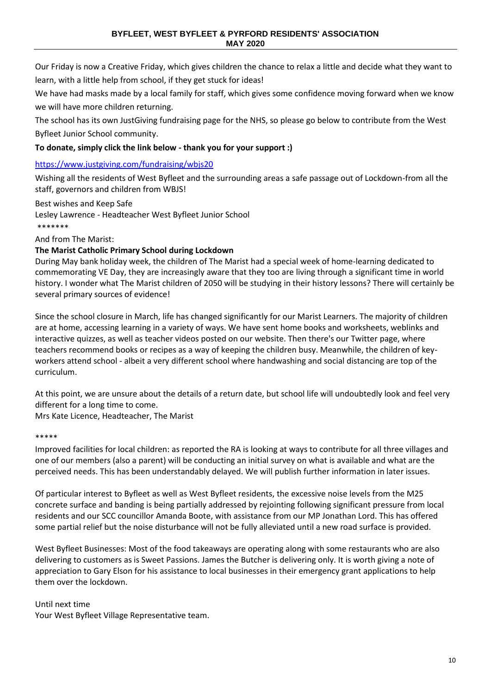Our Friday is now a Creative Friday, which gives children the chance to relax a little and decide what they want to learn, with a little help from school, if they get stuck for ideas!

We have had masks made by a local family for staff, which gives some confidence moving forward when we know we will have more children returning.

The school has its own JustGiving fundraising page for the NHS, so please go below to contribute from the West Byfleet Junior School community.

## **To donate, simply click the link below - thank you for your support :)**

## <https://www.justgiving.com/fundraising/wbjs20>

Wishing all the residents of West Byfleet and the surrounding areas a safe passage out of Lockdown-from all the staff, governors and children from WBJS!

Best wishes and Keep Safe

Lesley Lawrence - Headteacher West Byfleet Junior School

\*\*\*\*\*\*\*

And from The Marist:

## **The Marist Catholic Primary School during Lockdown**

During May bank holiday week, the children of The Marist had a special week of home-learning dedicated to commemorating VE Day, they are increasingly aware that they too are living through a significant time in world history. I wonder what The Marist children of 2050 will be studying in their history lessons? There will certainly be several primary sources of evidence!

Since the school closure in March, life has changed significantly for our Marist Learners. The majority of children are at home, accessing learning in a variety of ways. We have sent home books and worksheets, weblinks and interactive quizzes, as well as teacher videos posted on our website. Then there's our Twitter page, where teachers recommend books or recipes as a way of keeping the children busy. Meanwhile, the children of keyworkers attend school - albeit a very different school where handwashing and social distancing are top of the curriculum.

At this point, we are unsure about the details of a return date, but school life will undoubtedly look and feel very different for a long time to come.

Mrs Kate Licence, Headteacher, The Marist

#### \*\*\*\*\*

Improved facilities for local children: as reported the RA is looking at ways to contribute for all three villages and one of our members (also a parent) will be conducting an initial survey on what is available and what are the perceived needs. This has been understandably delayed. We will publish further information in later issues.

Of particular interest to Byfleet as well as West Byfleet residents, the excessive noise levels from the M25 concrete surface and banding is being partially addressed by rejointing following significant pressure from local residents and our SCC councillor Amanda Boote, with assistance from our MP Jonathan Lord. This has offered some partial relief but the noise disturbance will not be fully alleviated until a new road surface is provided.

West Byfleet Businesses: Most of the food takeaways are operating along with some restaurants who are also delivering to customers as is Sweet Passions. James the Butcher is delivering only. It is worth giving a note of appreciation to Gary Elson for his assistance to local businesses in their emergency grant applications to help them over the lockdown.

#### Until next time

Your West Byfleet Village Representative team.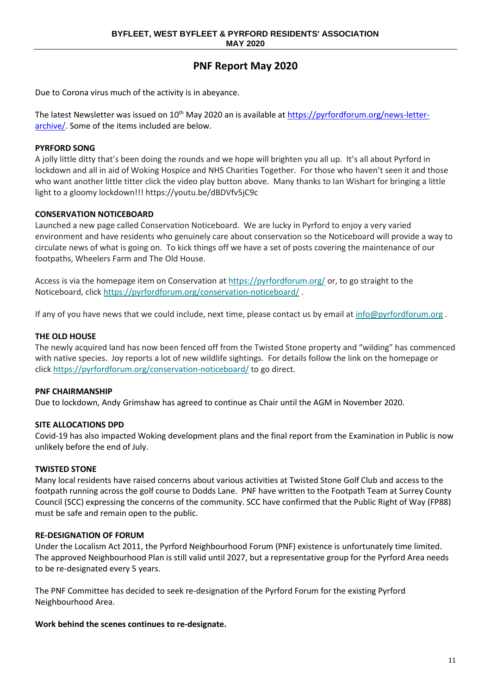## **PNF Report May 2020**

Due to Corona virus much of the activity is in abeyance.

The latest Newsletter was issued on 10<sup>th</sup> May 2020 an is available at [https://pyrfordforum.org/news-letter](https://pyrfordforum.org/news-letter-archive/)[archive/.](https://pyrfordforum.org/news-letter-archive/) Some of the items included are below.

#### **PYRFORD SONG**

A jolly little ditty that's been doing the rounds and we hope will brighten you all up. It's all about Pyrford in lockdown and all in aid of Woking Hospice and NHS Charities Together. For those who haven't seen it and those who want another little titter click the video play button above. Many thanks to Ian Wishart for bringing a little light to a gloomy lockdown!!! https://youtu.be/dBDVfv5jC9c

#### **CONSERVATION NOTICEBOARD**

Launched a new page called Conservation Noticeboard. We are lucky in Pyrford to enjoy a very varied environment and have residents who genuinely care about conservation so the Noticeboard will provide a way to circulate news of what is going on. To kick things off we have a set of posts covering the maintenance of our footpaths, Wheelers Farm and The Old House.

Access is via the homepage item on Conservation at <https://pyrfordforum.org/> or, to go straight to the Noticeboard, click <https://pyrfordforum.org/conservation-noticeboard/> .

If any of you have news that we could include, next time, please contact us by email at [info@pyrfordforum.org](mailto:info@pyrfordforum.org).

#### **THE OLD HOUSE**

The newly acquired land has now been fenced off from the Twisted Stone property and "wilding" has commenced with native species. Joy reports a lot of new wildlife sightings. For details follow the link on the homepage or click <https://pyrfordforum.org/conservation-noticeboard/> to go direct.

#### **PNF CHAIRMANSHIP**

Due to lockdown, Andy Grimshaw has agreed to continue as Chair until the AGM in November 2020.

#### **SITE ALLOCATIONS DPD**

Covid-19 has also impacted Woking development plans and the final report from the Examination in Public is now unlikely before the end of July.

#### **TWISTED STONE**

Many local residents have raised concerns about various activities at Twisted Stone Golf Club and access to the footpath running across the golf course to Dodds Lane. PNF have written to the Footpath Team at Surrey County Council (SCC) expressing the concerns of the community. SCC have confirmed that the Public Right of Way (FP88) must be safe and remain open to the public.

#### **RE-DESIGNATION OF FORUM**

Under the Localism Act 2011, the Pyrford Neighbourhood Forum (PNF) existence is unfortunately time limited. The approved Neighbourhood Plan is still valid until 2027, but a representative group for the Pyrford Area needs to be re-designated every 5 years.

The PNF Committee has decided to seek re-designation of the Pyrford Forum for the existing Pyrford Neighbourhood Area.

#### **Work behind the scenes continues to re-designate.**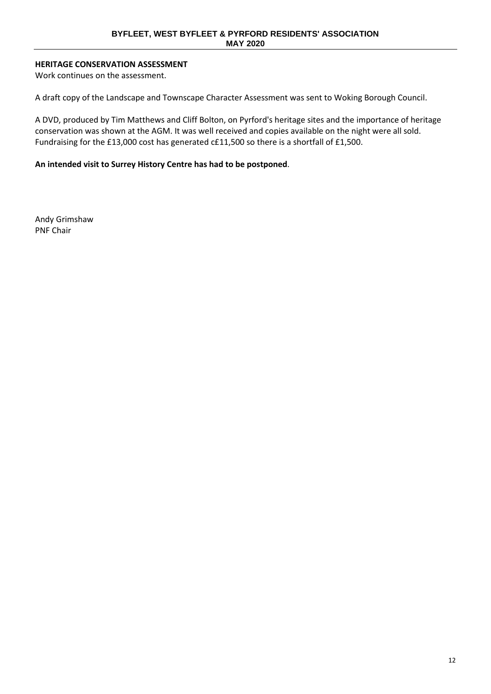## **HERITAGE CONSERVATION ASSESSMENT**

Work continues on the assessment.

A draft copy of the Landscape and Townscape Character Assessment was sent to Woking Borough Council.

A DVD, produced by Tim Matthews and Cliff Bolton, on Pyrford's heritage sites and the importance of heritage conservation was shown at the AGM. It was well received and copies available on the night were all sold. Fundraising for the £13,000 cost has generated c£11,500 so there is a shortfall of £1,500.

#### **An intended visit to Surrey History Centre has had to be postponed**.

Andy Grimshaw PNF Chair